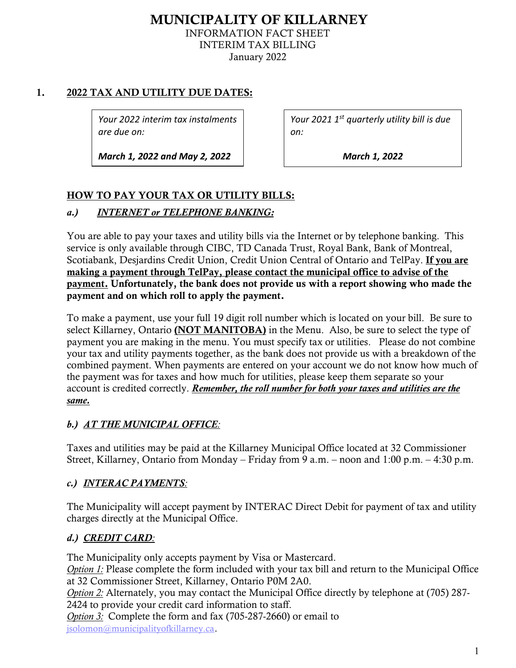# MUNICIPALITY OF KILLARNEY INFORMATION FACT SHEET INTERIM TAX BILLING January 2022

## 1. 2022 TAX AND UTILITY DUE DATES:

*Your 2022 interim tax instalments are due on:* 

*March 1, 2022 and May 2, 2022* 

*Your 2021 1st quarterly utility bill is due on:* 

*March 1, 2022* 

## HOW TO PAY YOUR TAX OR UTILITY BILLS:

## *a.) INTERNET or TELEPHONE BANKING:*

 You are able to pay your taxes and utility bills via the Internet or by telephone banking. This Scotiabank, Desjardins Credit Union, Credit Union Central of Ontario and TelPay. If you are making a payment through TelPay, please contact the municipal office to advise of the payment. Unfortunately, the bank does not provide us with a report showing who made the payment and on which roll to apply the payment. service is only available through CIBC, TD Canada Trust, Royal Bank, Bank of Montreal,

 To make a payment, use your full 19 digit roll number which is located on your bill. Be sure to select Killarney, Ontario (NOT MANITOBA) in the Menu. Also, be sure to select the type of payment you are making in the menu. You must specify tax or utilities. Please do not combine your tax and utility payments together, as the bank does not provide us with a breakdown of the combined payment. When payments are entered on your account we do not know how much of the payment was for taxes and how much for utilities, please keep them separate so your account is credited correctly. *Remember, the roll number for both your taxes and utilities are the same.* 

## *b.) AT THE MUNICIPAL OFFICE:*

Taxes and utilities may be paid at the Killarney Municipal Office located at 32 Commissioner Street, Killarney, Ontario from Monday – Friday from 9 a.m. – noon and 1:00 p.m. – 4:30 p.m.

## *c.) INTERAC PAYMENTS:*

 charges directly at the Municipal Office. The Municipality will accept payment by INTERAC Direct Debit for payment of tax and utility

## *d.) CREDIT CARD:*

 *Option 1:* Please complete the form included with your tax bill and return to the Municipal Office 2424 to provide your credit card information to staff. *Option 3:* Complete the form and fax (705-287-2660) or email to The Municipality only accepts payment by Visa or Mastercard. at 32 Commissioner Street, Killarney, Ontario P0M 2A0. *Option 2:* Alternately, you may contact the Municipal Office directly by telephone at (705) 287 [jsolomon@municipalityofkillarney.ca](mailto:jsolomon@municipalityofkillarney.ca).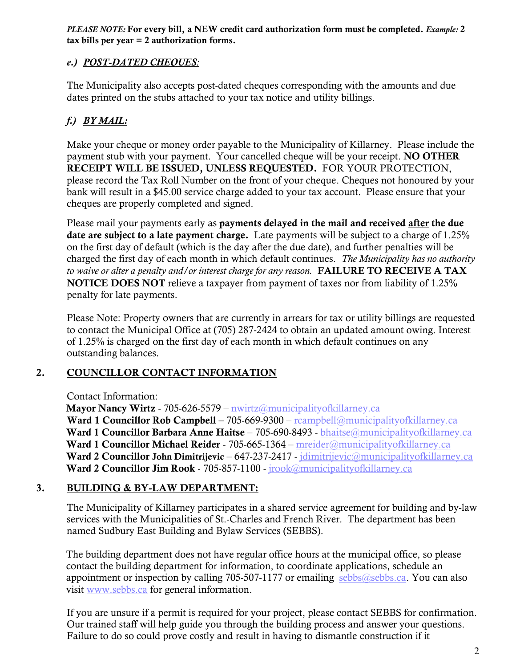*PLEASE NOTE:* For every bill, a NEW credit card authorization form must be completed. *Example:* 2 tax bills per year = 2 authorization forms.

## *e.) POST-DATED CHEQUES:*

 The Municipality also accepts post-dated cheques corresponding with the amounts and due dates printed on the stubs attached to your tax notice and utility billings.

# *f.) BY MAIL:*

 Make your cheque or money order payable to the Municipality of Killarney. Please include the payment stub with your payment. Your cancelled cheque will be your receipt. NO OTHER RECEIPT WILL BE ISSUED, UNLESS REQUESTED. FOR YOUR PROTECTION, please record the Tax Roll Number on the front of your cheque. Cheques not honoured by your bank will result in a \$45.00 service charge added to your tax account. Please ensure that your cheques are properly completed and signed.

Please mail your payments early as payments delayed in the mail and received after the due date are subject to a late payment charge. Late payments will be subject to a charge of 1.25%  charged the first day of each month in which default continues. *The Municipality has no authority to waive or alter a penalty and/or interest charge for any reason.* FAILURE TO RECEIVE A TAX **NOTICE DOES NOT** relieve a taxpayer from payment of taxes nor from liability of 1.25% on the first day of default (which is the day after the due date), and further penalties will be penalty for late payments.

 Please Note: Property owners that are currently in arrears for tax or utility billings are requested to contact the Municipal Office at (705) 287-2424 to obtain an updated amount owing. Interest of 1.25% is charged on the first day of each month in which default continues on any outstanding balances.

#### $2.$ 2. COUNCILLOR CONTACT INFORMATION

Contact Information:

Ward 2 Councillor Jim Rook - 705-857-1100 - jrook@municipalityofkillarney.ca Mayor Nancy Wirtz - 705-626-5579 – [nwirtz@municipalityofkillarney.ca](mailto:nwirtz@municipalityofkillarney.ca) Ward 1 Councillor Rob Campbell – 705-669-9300 – reampbell@municipalityofkillarney.ca Ward 1 Councillor Barbara Anne Haitse – 705-690-8493 - [bhaitse@municipalityofkillarney.ca](mailto:bhaitse@municipalityofkillarney.ca) Ward 1 Councillor Michael Reider - 705-665-1364 – [mreider@municipalityofkillarney.ca](mailto:mreider@municipalityofkillarney.ca)  Ward 2 Councillor John Dimitrijevic – 647-237-2417 - [jdimitrijevic@municipalityofkillarney.ca](mailto:jdimitrijevic@municipalityofkillarney.ca)

## 3. BUILDING & BY-LAW DEPARTMENT:

 services with the Municipalities of St.-Charles and French River. The department has been The Municipality of Killarney participates in a shared service agreement for building and by-law named Sudbury East Building and Bylaw Services (SEBBS).

 The building department does not have regular office hours at the municipal office, so please appointment or inspection by calling 705-507-1177 or emailing [sebbs@sebbs.ca](mailto:sebbs@sebbs.ca). You can also contact the building department for information, to coordinate applications, schedule an visit <www.sebbs.ca> for general information.

 If you are unsure if a permit is required for your project, please contact SEBBS for confirmation. Our trained staff will help guide you through the building process and answer your questions. Failure to do so could prove costly and result in having to dismantle construction if it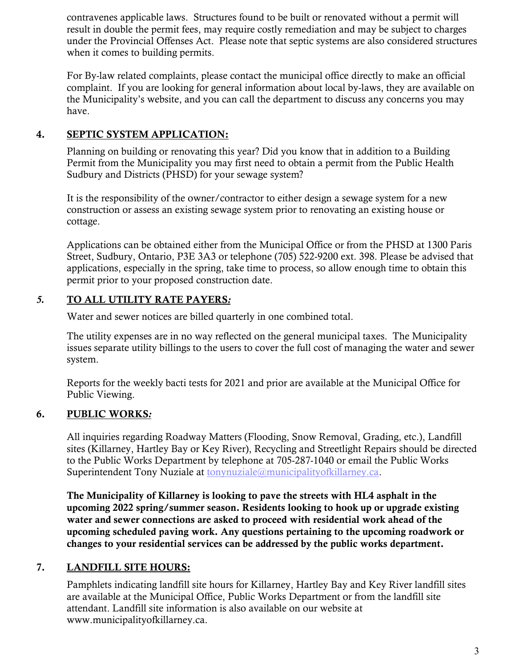contravenes applicable laws. Structures found to be built or renovated without a permit will under the Provincial Offenses Act. Please note that septic systems are also considered structures when it comes to building permits. result in double the permit fees, may require costly remediation and may be subject to charges

 complaint. If you are looking for general information about local by-laws, they are available on the Municipality's website, and you can call the department to discuss any concerns you may For By-law related complaints, please contact the municipal office directly to make an official have.

## 4. SEPTIC SYSTEM APPLICATION:

 Planning on building or renovating this year? Did you know that in addition to a Building Permit from the Municipality you may first need to obtain a permit from the Public Health Sudbury and Districts (PHSD) for your sewage system?

 It is the responsibility of the owner/contractor to either design a sewage system for a new construction or assess an existing sewage system prior to renovating an existing house or cottage.

 Applications can be obtained either from the Municipal Office or from the PHSD at 1300 Paris Street, Sudbury, Ontario, P3E 3A3 or telephone (705) 522-9200 ext. 398. Please be advised that applications, especially in the spring, take time to process, so allow enough time to obtain this permit prior to your proposed construction date.

# *5.* TO ALL UTILITY RATE PAYERS*:*

Water and sewer notices are billed quarterly in one combined total.

 The utility expenses are in no way reflected on the general municipal taxes. The Municipality issues separate utility billings to the users to cover the full cost of managing the water and sewer system.

 Reports for the weekly bacti tests for 2021 and prior are available at the Municipal Office for Public Viewing.

## 6. PUBLIC WORKS*:*

 sites (Killarney, Hartley Bay or Key River), Recycling and Streetlight Repairs should be directed to the Public Works Department by telephone at 705-287-1040 or email the Public Works All inquiries regarding Roadway Matters (Flooding, Snow Removal, Grading, etc.), Landfill Superintendent Tony Nuziale at [tonynuziale@municipalityofkillarney.ca.](mailto:tonynuziale@municipalityofkillarney.ca)

 upcoming 2022 spring/summer season. Residents looking to hook up or upgrade existing water and sewer connections are asked to proceed with residential work ahead of the changes to your residential services can be addressed by the public works department. The Municipality of Killarney is looking to pave the streets with HL4 asphalt in the upcoming scheduled paving work. Any questions pertaining to the upcoming roadwork or

#### 7. LANDFILL SITE HOURS:

 attendant. Landfill site information is also available on our website at Pamphlets indicating landfill site hours for Killarney, Hartley Bay and Key River landfill sites are available at the Municipal Office, Public Works Department or from the landfill site <www.municipalityofkillarney.ca>.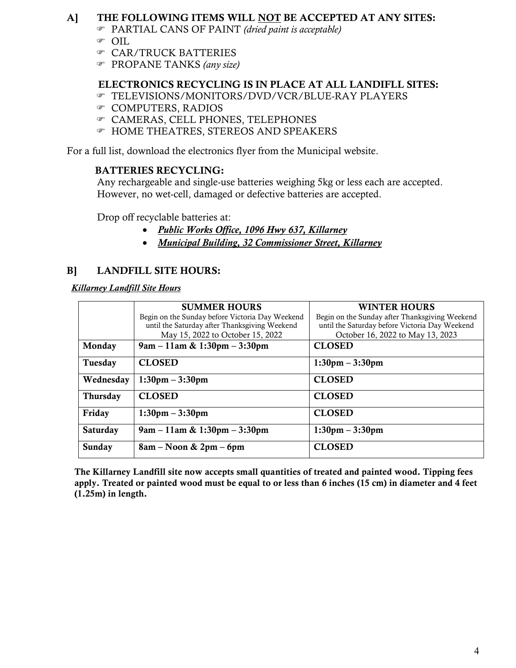## A] THE FOLLOWING ITEMS WILL NOT BE ACCEPTED AT ANY SITES:

- PARTIAL CANS OF PAINT *(dried paint is acceptable)*
- OIL
- CAR/TRUCK BATTERIES
- PROPANE TANKS *(any size)*

## ELECTRONICS RECYCLING IS IN PLACE AT ALL LANDIFLL SITES:

- TELEVISIONS/MONITORS/DVD/VCR/BLUE-RAY PLAYERS
- COMPUTERS, RADIOS
- CAMERAS, CELL PHONES, TELEPHONES
- HOME THEATRES, STEREOS AND SPEAKERS

For a full list, download the electronics flyer from the Municipal website.

## BATTERIES RECYCLING:

 Any rechargeable and single-use batteries weighing 5kg or less each are accepted. However, no wet-cell, damaged or defective batteries are accepted.

Drop off recyclable batteries at:

- $\bullet$ *Public Works Office, 1096 Hwy 637, Killarney*
- $\bullet$ *Municipal Building, 32 Commissioner Street, Killarney*

# B] LANDFILL SITE HOURS:

*Killarney Landfill Site Hours* 

|                 | <b>SUMMER HOURS</b><br>Begin on the Sunday before Victoria Day Weekend<br>until the Saturday after Thanksgiving Weekend<br>May 15, 2022 to October 15, 2022 | <b>WINTER HOURS</b><br>Begin on the Sunday after Thanksgiving Weekend<br>until the Saturday before Victoria Day Weekend<br>October 16, 2022 to May 13, 2023 |
|-----------------|-------------------------------------------------------------------------------------------------------------------------------------------------------------|-------------------------------------------------------------------------------------------------------------------------------------------------------------|
| Monday          | $9am - 11am \& 1:30pm - 3:30pm$                                                                                                                             | <b>CLOSED</b>                                                                                                                                               |
| Tuesday         | <b>CLOSED</b>                                                                                                                                               | $1:30$ pm $-3:30$ pm                                                                                                                                        |
| Wednesday       | $1:30 \text{pm} - 3:30 \text{pm}$                                                                                                                           | <b>CLOSED</b>                                                                                                                                               |
| <b>Thursday</b> | <b>CLOSED</b>                                                                                                                                               | <b>CLOSED</b>                                                                                                                                               |
| Friday          | $1:30$ pm $-3:30$ pm                                                                                                                                        | <b>CLOSED</b>                                                                                                                                               |
| Saturday        | $9am - 11am \& 1:30pm - 3:30pm$                                                                                                                             | $1:30$ pm $-3:30$ pm                                                                                                                                        |
| Sunday          | $8am - Noon & 2pm - 6pm$                                                                                                                                    | <b>CLOSED</b>                                                                                                                                               |

 The Killarney Landfill site now accepts small quantities of treated and painted wood. Tipping fees apply. Treated or painted wood must be equal to or less than 6 inches (15 cm) in diameter and 4 feet  $(1.25m)$  in length.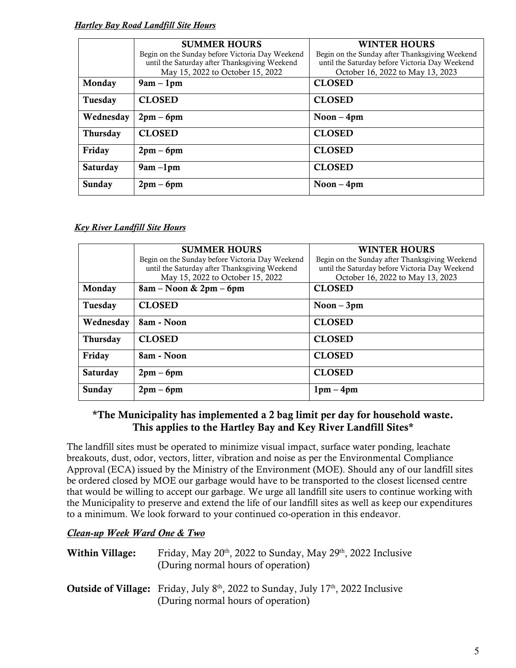#### *Hartley Bay Road Landfill Site Hours*

|                 | <b>SUMMER HOURS</b>                             | <b>WINTER HOURS</b>                            |
|-----------------|-------------------------------------------------|------------------------------------------------|
|                 | Begin on the Sunday before Victoria Day Weekend | Begin on the Sunday after Thanksgiving Weekend |
|                 | until the Saturday after Thanksgiving Weekend   | until the Saturday before Victoria Day Weekend |
|                 | May 15, 2022 to October 15, 2022                | October 16, 2022 to May 13, 2023               |
| Monday          | $9am - 1pm$                                     | <b>CLOSED</b>                                  |
| Tuesday         | <b>CLOSED</b>                                   | <b>CLOSED</b>                                  |
| Wednesday       | $2pm-6pm$                                       | Noon $-4$ pm                                   |
| <b>Thursday</b> | <b>CLOSED</b>                                   | <b>CLOSED</b>                                  |
| Friday          | $2pm-6pm$                                       | <b>CLOSED</b>                                  |
| <b>Saturday</b> | $9am - 1pm$                                     | <b>CLOSED</b>                                  |
| Sunday          | $2pm-6pm$                                       | Noon $-4$ pm                                   |

#### *Key River Landfill Site Hours*

|                 | <b>SUMMER HOURS</b><br>Begin on the Sunday before Victoria Day Weekend<br>until the Saturday after Thanksgiving Weekend<br>May 15, 2022 to October 15, 2022 | <b>WINTER HOURS</b><br>Begin on the Sunday after Thanksgiving Weekend<br>until the Saturday before Victoria Day Weekend<br>October 16, 2022 to May 13, 2023 |
|-----------------|-------------------------------------------------------------------------------------------------------------------------------------------------------------|-------------------------------------------------------------------------------------------------------------------------------------------------------------|
| Monday          | $8am - Noon & 2pm - 6pm$                                                                                                                                    | <b>CLOSED</b>                                                                                                                                               |
| Tuesday         | <b>CLOSED</b>                                                                                                                                               | $Noon - 3pm$                                                                                                                                                |
| Wednesday       | 8am - Noon                                                                                                                                                  | <b>CLOSED</b>                                                                                                                                               |
| <b>Thursday</b> | <b>CLOSED</b>                                                                                                                                               | <b>CLOSED</b>                                                                                                                                               |
| Friday          | 8am - Noon                                                                                                                                                  | <b>CLOSED</b>                                                                                                                                               |
| <b>Saturday</b> | $2pm-6pm$                                                                                                                                                   | <b>CLOSED</b>                                                                                                                                               |
| Sunday          | $2pm-6pm$                                                                                                                                                   | $1pm -$<br>4pm                                                                                                                                              |

#### \*The Municipality has implemented a 2 bag limit per day for household waste. This applies to the Hartley Bay and Key River Landfill Sites\*

 The landfill sites must be operated to minimize visual impact, surface water ponding, leachate Approval (ECA) issued by the Ministry of the Environment (MOE). Should any of our landfill sites be ordered closed by MOE our garbage would have to be transported to the closest licensed centre that would be willing to accept our garbage. We urge all landfill site users to continue working with the Municipality to preserve and extend the life of our landfill sites as well as keep our expenditures to a minimum. We look forward to your continued co-operation in this endeavor. breakouts, dust, odor, vectors, litter, vibration and noise as per the Environmental Compliance

#### *Clean-up Week Ward One & Two*

| Within Village: | Friday, May $20th$ , 2022 to Sunday, May $29th$ , 2022 Inclusive |
|-----------------|------------------------------------------------------------------|
|                 | (During normal hours of operation)                               |
|                 |                                                                  |

 (During normal hours of operation) **Outside of Village:** Friday, July  $8<sup>th</sup>$ , 2022 to Sunday, July  $17<sup>th</sup>$ , 2022 Inclusive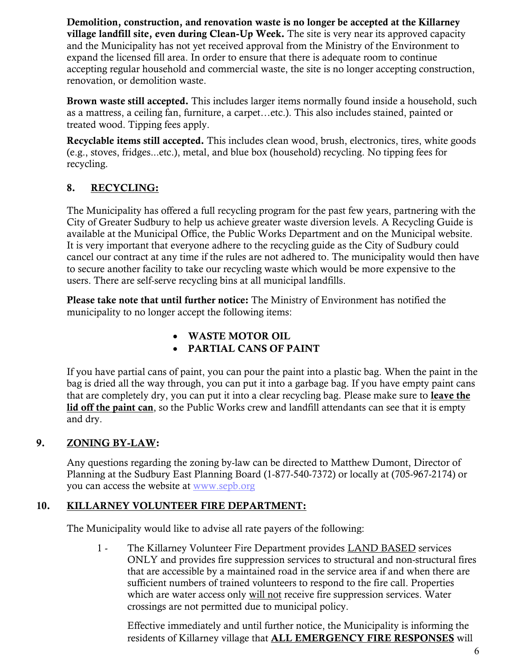Demolition, construction, and renovation waste is no longer be accepted at the Killarney village landfill site, even during Clean-Up Week. The site is very near its approved capacity expand the licensed fill area. In order to ensure that there is adequate room to continue renovation, or demolition waste. and the Municipality has not yet received approval from the Ministry of the Environment to accepting regular household and commercial waste, the site is no longer accepting construction,

Brown waste still accepted. This includes larger items normally found inside a household, such as a mattress, a ceiling fan, furniture, a carpet…etc.). This also includes stained, painted or treated wood. Tipping fees apply.

Recyclable items still accepted. This includes clean wood, brush, electronics, tires, white goods (e.g., stoves, fridges...etc.), metal, and blue box (household) recycling. No tipping fees for recycling.

#### 8. RECYCLING:

 The Municipality has offered a full recycling program for the past few years, partnering with the City of Greater Sudbury to help us achieve greater waste diversion levels. A Recycling Guide is available at the Municipal Office, the Public Works Department and on the Municipal website. It is very important that everyone adhere to the recycling guide as the City of Sudbury could cancel our contract at any time if the rules are not adhered to. The municipality would then have to secure another facility to take our recycling waste which would be more expensive to the users. There are self-serve recycling bins at all municipal landfills.

Please take note that until further notice: The Ministry of Environment has notified the municipality to no longer accept the following items:

- WASTE MOTOR OIL
- PARTIAL CANS OF PAINT

 If you have partial cans of paint, you can pour the paint into a plastic bag. When the paint in the bag is dried all the way through, you can put it into a garbage bag. If you have empty paint cans that are completely dry, you can put it into a clear recycling bag. Please make sure to leave the lid off the paint can, so the Public Works crew and landfill attendants can see that it is empty and dry.

## 9. ZONING BY-LAW:

 Any questions regarding the zoning by-law can be directed to Matthew Dumont, Director of Planning at the Sudbury East Planning Board (1-877-540-7372) or locally at (705-967-2174) or you can access the website at www.sepb.org

## 10. KILLARNEY VOLUNTEER FIRE DEPARTMENT:

The Municipality would like to advise all rate payers of the following:

 ONLY and provides fire suppression services to structural and non-structural fires that are accessible by a maintained road in the service area if and when there are sufficient numbers of trained volunteers to respond to the fire call. Properties which are water access only will not receive fire suppression services. Water 1 - The Killarney Volunteer Fire Department provides LAND BASED services crossings are not permitted due to municipal policy.

 Effective immediately and until further notice, the Municipality is informing the residents of Killarney village that **ALL EMERGENCY FIRE RESPONSES** will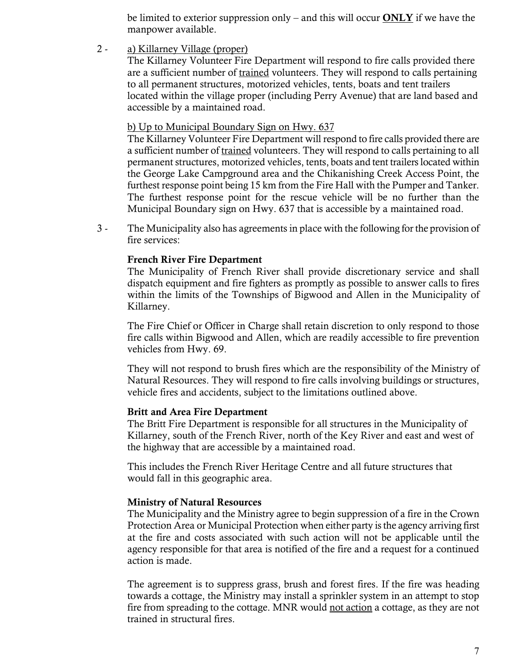be limited to exterior suppression only – and this will occur  $\overline{ONLY}$  if we have the manpower available.

2 - a) Killarney Village (proper)

 The Killarney Volunteer Fire Department will respond to fire calls provided there are a sufficient number of trained volunteers. They will respond to calls pertaining to all permanent structures, motorized vehicles, tents, boats and tent trailers located within the village proper (including Perry Avenue) that are land based and accessible by a maintained road.

#### b) Up to Municipal Boundary Sign on Hwy. 637

 The Killarney Volunteer Fire Department will respond to fire calls provided there are a sufficient number of trained volunteers. They will respond to calls pertaining to all permanent structures, motorized vehicles, tents, boats and tent trailers located within the George Lake Campground area and the Chikanishing Creek Access Point, the furthest response point being 15 km from the Fire Hall with the Pumper and Tanker. The furthest response point for the rescue vehicle will be no further than the Municipal Boundary sign on Hwy. 637 that is accessible by a maintained road.

 3 - The Municipality also has agreements in place with the following for the provision of fire services:

#### French River Fire Department

 The Municipality of French River shall provide discretionary service and shall dispatch equipment and fire fighters as promptly as possible to answer calls to fires within the limits of the Townships of Bigwood and Allen in the Municipality of Killarney.

 The Fire Chief or Officer in Charge shall retain discretion to only respond to those fire calls within Bigwood and Allen, which are readily accessible to fire prevention vehicles from Hwy. 69.

 They will not respond to brush fires which are the responsibility of the Ministry of Natural Resources. They will respond to fire calls involving buildings or structures, vehicle fires and accidents, subject to the limitations outlined above.

#### Britt and Area Fire Department

 Killarney, south of the French River, north of the Key River and east and west of the highway that are accessible by a maintained road. The Britt Fire Department is responsible for all structures in the Municipality of

This includes the French River Heritage Centre and all future structures that would fall in this geographic area.

#### Ministry of Natural Resources

 The Municipality and the Ministry agree to begin suppression of a fire in the Crown Protection Area or Municipal Protection when either party is the agency arriving first at the fire and costs associated with such action will not be applicable until the agency responsible for that area is notified of the fire and a request for a continued action is made.

 The agreement is to suppress grass, brush and forest fires. If the fire was heading towards a cottage, the Ministry may install a sprinkler system in an attempt to stop fire from spreading to the cottage. MNR would not action a cottage, as they are not trained in structural fires.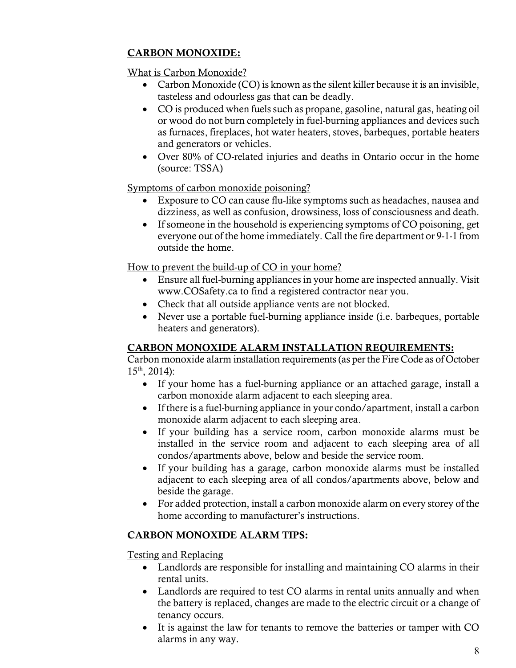## CARBON MONOXIDE:

What is Carbon Monoxide?

- Carbon Monoxide (CO) is known as the silent killer because it is an invisible, tasteless and odourless gas that can be deadly.
- CO is produced when fuels such as propane, gasoline, natural gas, heating oil or wood do not burn completely in fuel-burning appliances and devices such as furnaces, fireplaces, hot water heaters, stoves, barbeques, portable heaters and generators or vehicles.
- Over 80% of CO-related injuries and deaths in Ontario occur in the home (source: TSSA)

Symptoms of carbon monoxide poisoning?

- Exposure to CO can cause flu-like symptoms such as headaches, nausea and dizziness, as well as confusion, drowsiness, loss of consciousness and death.
- If someone in the household is experiencing symptoms of CO poisoning, get everyone out of the home immediately. Call the fire department or 9-1-1 from outside the home.

How to prevent the build-up of CO in your home?

- Ensure all fuel-burning appliances in your home are inspected annually. Visit <www.COSafety.ca> to find a registered contractor near you.
- Check that all outside appliance vents are not blocked.
- Never use a portable fuel-burning appliance inside (i.e. barbeques, portable heaters and generators).

## CARBON MONOXIDE ALARM INSTALLATION REQUIREMENTS:

 Carbon monoxide alarm installation requirements (as per the Fire Code as of October  $15<sup>th</sup>$ , 2014):

- If your home has a fuel-burning appliance or an attached garage, install a carbon monoxide alarm adjacent to each sleeping area.
- If there is a fuel-burning appliance in your condo/apartment, install a carbon monoxide alarm adjacent to each sleeping area.
- If your building has a service room, carbon monoxide alarms must be installed in the service room and adjacent to each sleeping area of all condos/apartments above, below and beside the service room.
- If your building has a garage, carbon monoxide alarms must be installed adjacent to each sleeping area of all condos/apartments above, below and beside the garage.
- For added protection, install a carbon monoxide alarm on every storey of the home according to manufacturer's instructions.

## CARBON MONOXIDE ALARM TIPS:

Testing and Replacing

- Landlords are responsible for installing and maintaining CO alarms in their rental units.
- Landlords are required to test CO alarms in rental units annually and when the battery is replaced, changes are made to the electric circuit or a change of tenancy occurs.
- It is against the law for tenants to remove the batteries or tamper with CO alarms in any way.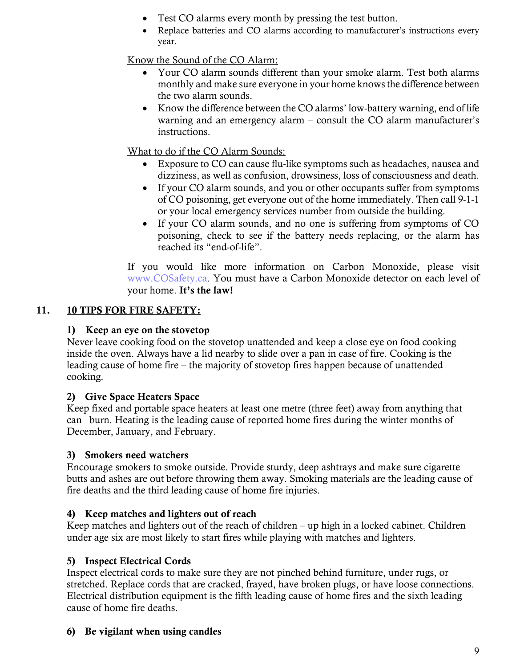- Test CO alarms every month by pressing the test button.
- Replace batteries and CO alarms according to manufacturer's instructions every year.

Know the Sound of the CO Alarm:

- Your CO alarm sounds different than your smoke alarm. Test both alarms monthly and make sure everyone in your home knows the difference between the two alarm sounds.
- Know the difference between the CO alarms' low-battery warning, end of life warning and an emergency alarm – consult the CO alarm manufacturer's instructions.

What to do if the CO Alarm Sounds:

- Exposure to CO can cause flu-like symptoms such as headaches, nausea and dizziness, as well as confusion, drowsiness, loss of consciousness and death.
- If your CO alarm sounds, and you or other occupants suffer from symptoms of CO poisoning, get everyone out of the home immediately. Then call 9-1-1 or your local emergency services number from outside the building.
- If your CO alarm sounds, and no one is suffering from symptoms of CO poisoning, check to see if the battery needs replacing, or the alarm has reached its "end-of-life".

If you would like more information on Carbon Monoxide, please visit [www.COSafety.ca.](http://www.cosafety.ca/) You must have a Carbon Monoxide detector on each level of your home. It's the law!

#### 11. 10 TIPS FOR FIRE SAFETY:

# 1) Keep an eye on the stovetop

 Never leave cooking food on the stovetop unattended and keep a close eye on food cooking inside the oven. Always have a lid nearby to slide over a pan in case of fire. Cooking is the leading cause of home fire – the majority of stovetop fires happen because of unattended cooking.

# 2) Give Space Heaters Space

 Keep fixed and portable space heaters at least one metre (three feet) away from anything that can burn. Heating is the leading cause of reported home fires during the winter months of December, January, and February.

# 3) Smokers need watchers

 butts and ashes are out before throwing them away. Smoking materials are the leading cause of fire deaths and the third leading cause of home fire injuries. Encourage smokers to smoke outside. Provide sturdy, deep ashtrays and make sure cigarette

# 4) Keep matches and lighters out of reach

 Keep matches and lighters out of the reach of children – up high in a locked cabinet. Children under age six are most likely to start fires while playing with matches and lighters.

# 5) Inspect Electrical Cords

 Inspect electrical cords to make sure they are not pinched behind furniture, under rugs, or stretched. Replace cords that are cracked, frayed, have broken plugs, or have loose connections. Electrical distribution equipment is the fifth leading cause of home fires and the sixth leading cause of home fire deaths.

# 6) Be vigilant when using candles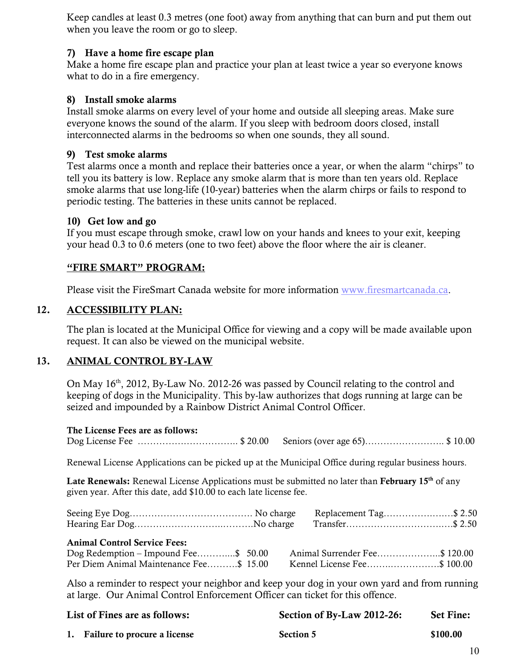when you leave the room or go to sleep. Keep candles at least 0.3 metres (one foot) away from anything that can burn and put them out

#### 7) Have a home fire escape plan

 Make a home fire escape plan and practice your plan at least twice a year so everyone knows what to do in a fire emergency.

#### 8) Install smoke alarms

 Install smoke alarms on every level of your home and outside all sleeping areas. Make sure everyone knows the sound of the alarm. If you sleep with bedroom doors closed, install interconnected alarms in the bedrooms so when one sounds, they all sound.

#### 9) Test smoke alarms

 Test alarms once a month and replace their batteries once a year, or when the alarm "chirps" to tell you its battery is low. Replace any smoke alarm that is more than ten years old. Replace smoke alarms that use long-life (10-year) batteries when the alarm chirps or fails to respond to periodic testing. The batteries in these units cannot be replaced.

#### 10) Get low and go

 If you must escape through smoke, crawl low on your hands and knees to your exit, keeping your head 0.3 to 0.6 meters (one to two feet) above the floor where the air is cleaner.

#### "FIRE SMART" PROGRAM:

Please visit the FireSmart Canada website for more information [www.firesmartcanada.ca.](http://www.firesmartcanada.ca/)

#### $12.$ 12. ACCESSIBILITY PLAN:

 The plan is located at the Municipal Office for viewing and a copy will be made available upon request. It can also be viewed on the municipal website.

#### 13. ANIMAL CONTROL BY-LAW

On May 16<sup>th</sup>, 2012, By-Law No. 2012-26 was passed by Council relating to the control and keeping of dogs in the Municipality. This by-law authorizes that dogs running at large can be seized and impounded by a Rainbow District Animal Control Officer.

| The License Fees are as follows: |  |
|----------------------------------|--|
|                                  |  |

Renewal License Applications can be picked up at the Municipal Office during regular business hours.

Late Renewals: Renewal License Applications must be submitted no later than February  $15<sup>th</sup>$  of any given year. After this date, add \$10.00 to each late license fee.

|                                                                                                                        | Replacement Tag\$ 2.50      |
|------------------------------------------------------------------------------------------------------------------------|-----------------------------|
| <b>Animal Control Service Fees:</b><br>Dog Redemption – Impound Fee\$ 50.00<br>Per Diem Animal Maintenance Fee\$ 15.00 | Kennel License Fee\$ 100.00 |

 Also a reminder to respect your neighbor and keep your dog in your own yard and from running at large. Our Animal Control Enforcement Officer can ticket for this offence.

| List of Fines are as follows: |                                 | Section of By-Law 2012-26: | <b>Set Fine:</b> |
|-------------------------------|---------------------------------|----------------------------|------------------|
|                               | 1. Failure to procure a license | <b>Section 5</b>           | \$100.00         |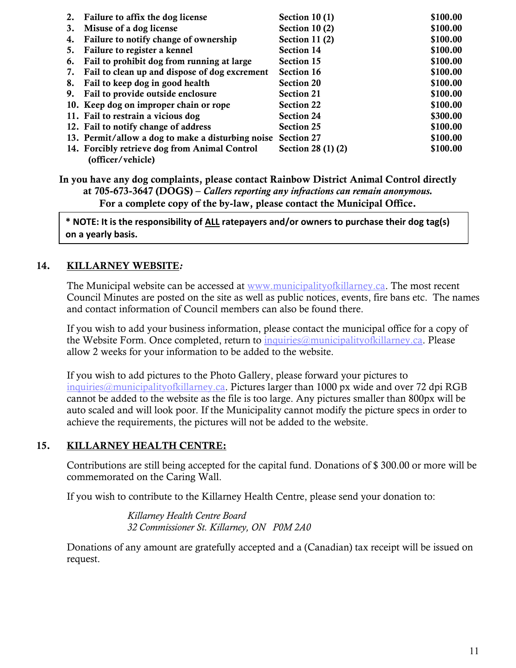|    | 2. Failure to affix the dog license                          | Section $10(1)$    | \$100.00 |
|----|--------------------------------------------------------------|--------------------|----------|
| 3. | Misuse of a dog license                                      | Section $10(2)$    | \$100.00 |
| 4. | Failure to notify change of ownership                        | Section 11 (2)     | \$100.00 |
| 5. | Failure to register a kennel                                 | <b>Section 14</b>  | \$100.00 |
| 6. | Fail to prohibit dog from running at large                   | <b>Section 15</b>  | \$100.00 |
| 7. | Fail to clean up and dispose of dog excrement                | <b>Section 16</b>  | \$100.00 |
| 8. | Fail to keep dog in good health                              | <b>Section 20</b>  | \$100.00 |
| 9. | Fail to provide outside enclosure                            | <b>Section 21</b>  | \$100.00 |
|    | 10. Keep dog on improper chain or rope                       | <b>Section 22</b>  | \$100.00 |
|    | 11. Fail to restrain a vicious dog                           | <b>Section 24</b>  | \$300.00 |
|    | 12. Fail to notify change of address                         | <b>Section 25</b>  | \$100.00 |
|    | 13. Permit/allow a dog to make a disturbing noise Section 27 |                    | \$100.00 |
|    | 14. Forcibly retrieve dog from Animal Control                | Section 28 (1) (2) | \$100.00 |
|    | (officer/vehicle)                                            |                    |          |

 In you have any dog complaints, please contact Rainbow District Animal Control directly  at 705-673-3647 (DOGS) – *Callers reporting any infractions can remain anonymous.*  For a complete copy of the by-law, please contact the Municipal Office.

 **\* NOTE: It is the responsibility of ALL ratepayers and/or owners to purchase their dog tag(s) on a yearly basis.** 

## 14. KILLARNEY WEBSITE*:*

The Municipal website can be accessed at [www.municipalityofkillarney.ca.](http://www.municipalityofkillarney.ca/) The most recent Council Minutes are posted on the site as well as public notices, events, fire bans etc. The names and contact information of Council members can also be found there.

 If you wish to add your business information, please contact the municipal office for a copy of the Website Form. Once completed, return to *inquiries@municipalityofkillarney.ca*. Please allow 2 weeks for your information to be added to the website.

 If you wish to add pictures to the Photo Gallery, please forward your pictures to [inquiries@municipalityofkillarney.ca.](mailto:inquiries@municipalityofkillarney.ca) Pictures larger than 1000 px wide and over 72 dpi RGB cannot be added to the website as the file is too large. Any pictures smaller than 800px will be auto scaled and will look poor. If the Municipality cannot modify the picture specs in order to achieve the requirements, the pictures will not be added to the website.

#### 15. KILLARNEY HEALTH CENTRE:

 Contributions are still being accepted for the capital fund. Donations of \$ 300.00 or more will be commemorated on the Caring Wall.

If you wish to contribute to the Killarney Health Centre, please send your donation to:

 *32 Commissioner St. Killarney, ON P0M 2A0 Killarney Health Centre Board* 

 Donations of any amount are gratefully accepted and a (Canadian) tax receipt will be issued on request.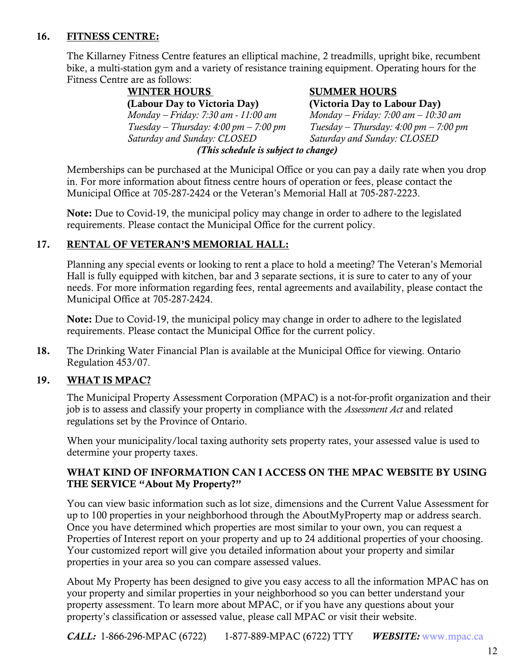## 16. FITNESS CENTRE:

 bike, a multi-station gym and a variety of resistance training equipment. Operating hours for the The Killarney Fitness Centre features an elliptical machine, 2 treadmills, upright bike, recumbent Fitness Centre are as follows:

> (Labour Day to Victoria Day)  *(This schedule is subject to change)*  WINTER HOURS *Monday – Friday: 7:30 am - 11:00 am Tuesday – Thursday: 4:00 pm – 7:00 pm Saturday and Sunday: CLOSED*

#### SUMMER HOURS (Victoria Day to Labour Day)

*Monday – Friday: 7:00 am – 10:30 am Tuesday – Thursday: 4:00 pm – 7:00 pm Saturday and Sunday: CLOSED* 

 in. For more information about fitness centre hours of operation or fees, please contact the Memberships can be purchased at the Municipal Office or you can pay a daily rate when you drop Municipal Office at 705-287-2424 or the Veteran's Memorial Hall at 705-287-2223.

Note: Due to Covid-19, the municipal policy may change in order to adhere to the legislated requirements. Please contact the Municipal Office for the current policy.

#### 17. RENTAL OF VETERAN'S MEMORIAL HALL:

 Planning any special events or looking to rent a place to hold a meeting? The Veteran's Memorial Hall is fully equipped with kitchen, bar and 3 separate sections, it is sure to cater to any of your needs. For more information regarding fees, rental agreements and availability, please contact the Municipal Office at 705-287-2424.

Note: Due to Covid-19, the municipal policy may change in order to adhere to the legislated requirements. Please contact the Municipal Office for the current policy.

 18. The Drinking Water Financial Plan is available at the Municipal Office for viewing. Ontario Regulation 453/07.

### 19. WHAT IS MPAC?

 job is to assess and classify your property in compliance with the *Assessment Act* and related regulations set by the Province of Ontario. The Municipal Property Assessment Corporation (MPAC) is a not-for-profit organization and their

 When your municipality/local taxing authority sets property rates, your assessed value is used to determine your property taxes.

#### WHAT KIND OF INFORMATION CAN I ACCESS ON THE MPAC WEBSITE BY USING THE SERVICE "About My Property?"

 You can view basic information such as lot size, dimensions and the Current Value Assessment for up to 100 properties in your neighborhood through the AboutMyProperty map or address search. Once you have determined which properties are most similar to your own, you can request a Properties of Interest report on your property and up to 24 additional properties of your choosing. Your customized report will give you detailed information about your property and similar properties in your area so you can compare assessed values.

 About My Property has been designed to give you easy access to all the information MPAC has on your property and similar properties in your neighborhood so you can better understand your property assessment. To learn more about MPAC, or if you have any questions about your property's classification or assessed value, please call MPAC or visit their website.